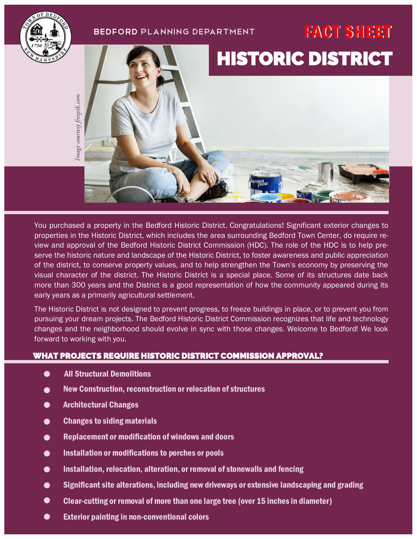## BEDFORD PLANNING DEPARTMENT FACT SHEET





Image courtesy freepik.com

You purchased a property in the Bedford Historic District. Congratulations! Significant exterior changes to properties in the Historic District, which includes the area surrounding Bedford Town Center, do require review and approval of the Bedford Historic District Commission (HDC). The role of the HDC is to help preserve the historic nature and landscape of the Historic District, to foster awareness and public appreciation of the district, to conserve property values, and to help strengthen the Town's economy by preserving the visual character of the district. The Historic District is a special place. Some of its structures date back more than 300 years and the District is a good representation of how the community appeared during its early years as a primarily agricultural settlement.

The Historic District is not designed to prevent progress, to freeze buildings in place, or to prevent you from pursuing your dream projects. The Bedford Historic District Commission recognizes that life and technology changes and the neighborhood should evolve in sync with those changes. Welcome to Bedford! We look forward to working with you.

#### WHAT PROJECTS REQUIRE HISTORIC DISTRICT COMMISSION APPROVAL?

- $\bullet$ All Structural Demolitions
- New Construction, reconstruction or relocation of structures  $\bullet$
- Architectural Changes  $\bullet$
- Changes to siding materials  $\bullet$
- $\bullet$ Replacement or modification of windows and doors
- Installation or modifications to porches or pools  $\bullet$
- Installation, relocation, alteration, or removal of stonewalls and fencing  $\bullet$
- Significant site alterations, including new driveways or extensive landscaping and grading  $\bullet$
- $\bullet$ Clear-cutting or removal of more than one large tree (over 15 inches in diameter)
- $\bullet$ Exterior painting in non-conventional colors